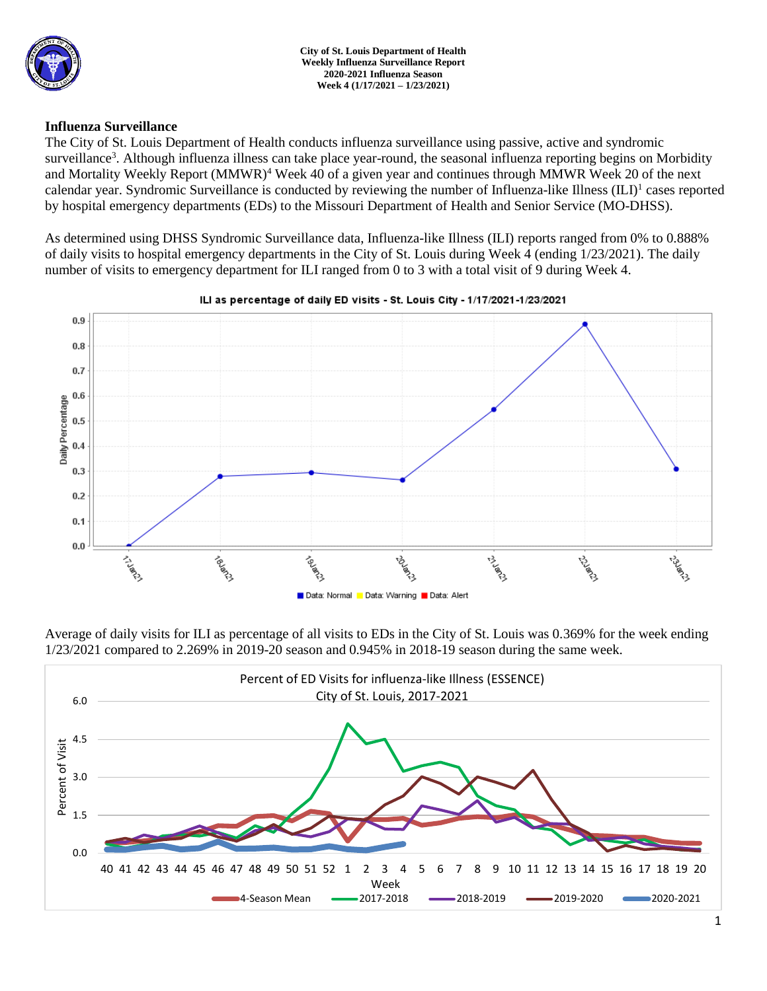

### **Influenza Surveillance**

The City of St. Louis Department of Health conducts influenza surveillance using passive, active and syndromic surveillance<sup>3</sup>. Although influenza illness can take place year-round, the seasonal influenza reporting begins on Morbidity and Mortality Weekly Report (MMWR)<sup>4</sup> Week 40 of a given year and continues through MMWR Week 20 of the next calendar year. Syndromic Surveillance is conducted by reviewing the number of Influenza-like Illness (ILI)<sup>1</sup> cases reported by hospital emergency departments (EDs) to the Missouri Department of Health and Senior Service (MO-DHSS).

As determined using DHSS Syndromic Surveillance data, Influenza-like Illness (ILI) reports ranged from 0% to 0.888% of daily visits to hospital emergency departments in the City of St. Louis during Week 4 (ending 1/23/2021). The daily number of visits to emergency department for ILI ranged from 0 to 3 with a total visit of 9 during Week 4.



### ILI as percentage of daily ED visits - St. Louis City - 1/17/2021-1/23/2021

Average of daily visits for ILI as percentage of all visits to EDs in the City of St. Louis was 0.369% for the week ending 1/23/2021 compared to 2.269% in 2019-20 season and 0.945% in 2018-19 season during the same week.

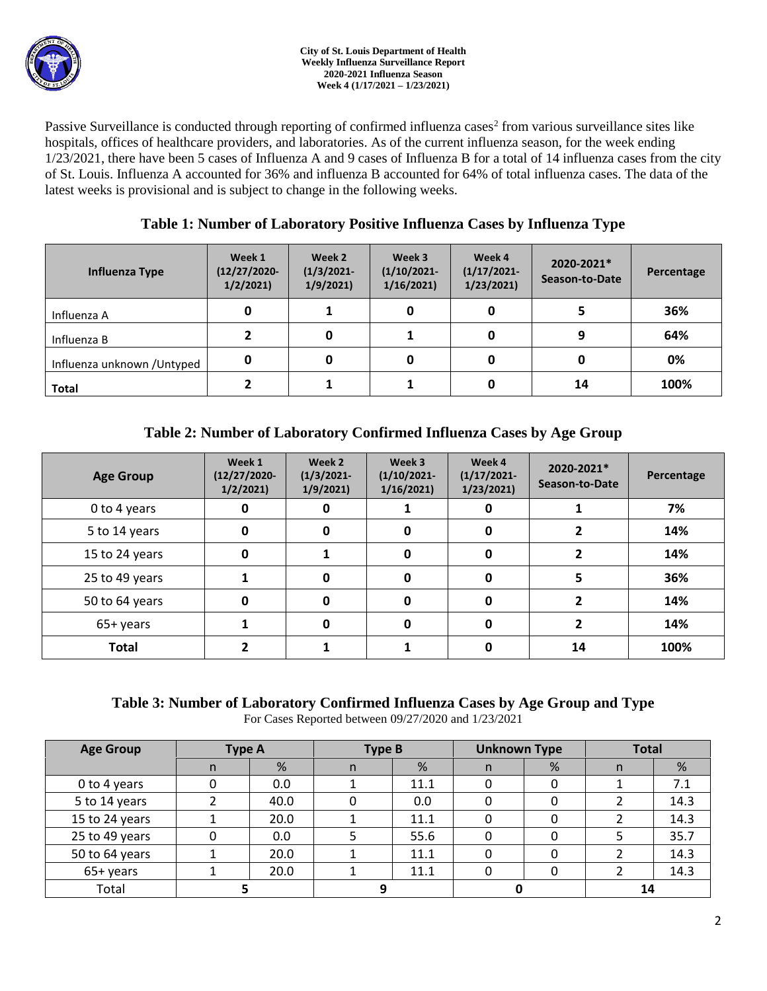

Passive Surveillance is conducted through reporting of confirmed influenza cases<sup>2</sup> from various surveillance sites like hospitals, offices of healthcare providers, and laboratories. As of the current influenza season, for the week ending 1/23/2021, there have been 5 cases of Influenza A and 9 cases of Influenza B for a total of 14 influenza cases from the city of St. Louis. Influenza A accounted for 36% and influenza B accounted for 64% of total influenza cases. The data of the latest weeks is provisional and is subject to change in the following weeks.

## **Table 1: Number of Laboratory Positive Influenza Cases by Influenza Type**

| Influenza Type              | Week 1<br>$(12/27/2020 -$<br>1/2/2021 | Week 2<br>$(1/3/2021 -$<br>1/9/2021 | Week 3<br>$(1/10/2021 -$<br>1/16/2021 | Week 4<br>$(1/17/2021 -$<br>1/23/2021 | 2020-2021*<br>Season-to-Date | Percentage |
|-----------------------------|---------------------------------------|-------------------------------------|---------------------------------------|---------------------------------------|------------------------------|------------|
| Influenza A                 | 0                                     |                                     | 0                                     |                                       |                              | 36%        |
| Influenza B                 |                                       |                                     |                                       |                                       | 9                            | 64%        |
| Influenza unknown / Untyped | 0                                     |                                     | 0                                     |                                       |                              | 0%         |
| <b>Total</b>                |                                       |                                     |                                       |                                       | 14                           | 100%       |

# **Table 2: Number of Laboratory Confirmed Influenza Cases by Age Group**

| <b>Age Group</b> | Week 1<br>$(12/27/2020 -$<br>1/2/2021 | Week 2<br>$(1/3/2021 -$<br>1/9/2021 | Week 3<br>$(1/10/2021 -$<br>1/16/2021 | Week 4<br>$(1/17/2021 -$<br>1/23/2021 | 2020-2021*<br>Season-to-Date | Percentage |
|------------------|---------------------------------------|-------------------------------------|---------------------------------------|---------------------------------------|------------------------------|------------|
| 0 to 4 years     | 0                                     | O                                   |                                       | 0                                     |                              | 7%         |
| 5 to 14 years    | 0                                     | 0                                   | 0                                     | $\mathbf{0}$                          |                              | 14%        |
| 15 to 24 years   | 0                                     |                                     | 0                                     | $\mathbf{0}$                          |                              | 14%        |
| 25 to 49 years   |                                       | U                                   | 0                                     | $\Omega$                              |                              | 36%        |
| 50 to 64 years   | 0                                     | n                                   | 0                                     | $\Omega$                              |                              | 14%        |
| 65+ years        |                                       |                                     | 0                                     | ŋ                                     |                              | 14%        |
| <b>Total</b>     |                                       |                                     |                                       |                                       | 14                           | 100%       |

# **Table 3: Number of Laboratory Confirmed Influenza Cases by Age Group and Type**

For Cases Reported between 09/27/2020 and 1/23/2021

| <b>Age Group</b> | <b>Type A</b> |      | <b>Type B</b> |      | <b>Unknown Type</b> |   | <b>Total</b> |      |
|------------------|---------------|------|---------------|------|---------------------|---|--------------|------|
|                  | n             | %    | n             | %    | n                   | % | n            | %    |
| 0 to 4 years     |               | 0.0  |               | 11.1 |                     |   |              | 7.1  |
| 5 to 14 years    |               | 40.0 |               | 0.0  |                     |   |              | 14.3 |
| 15 to 24 years   |               | 20.0 |               | 11.1 |                     |   |              | 14.3 |
| 25 to 49 years   |               | 0.0  |               | 55.6 |                     |   |              | 35.7 |
| 50 to 64 years   |               | 20.0 |               | 11.1 |                     |   |              | 14.3 |
| 65+ years        |               | 20.0 |               | 11.1 |                     |   |              | 14.3 |
| Total            |               |      |               |      |                     |   | 14           |      |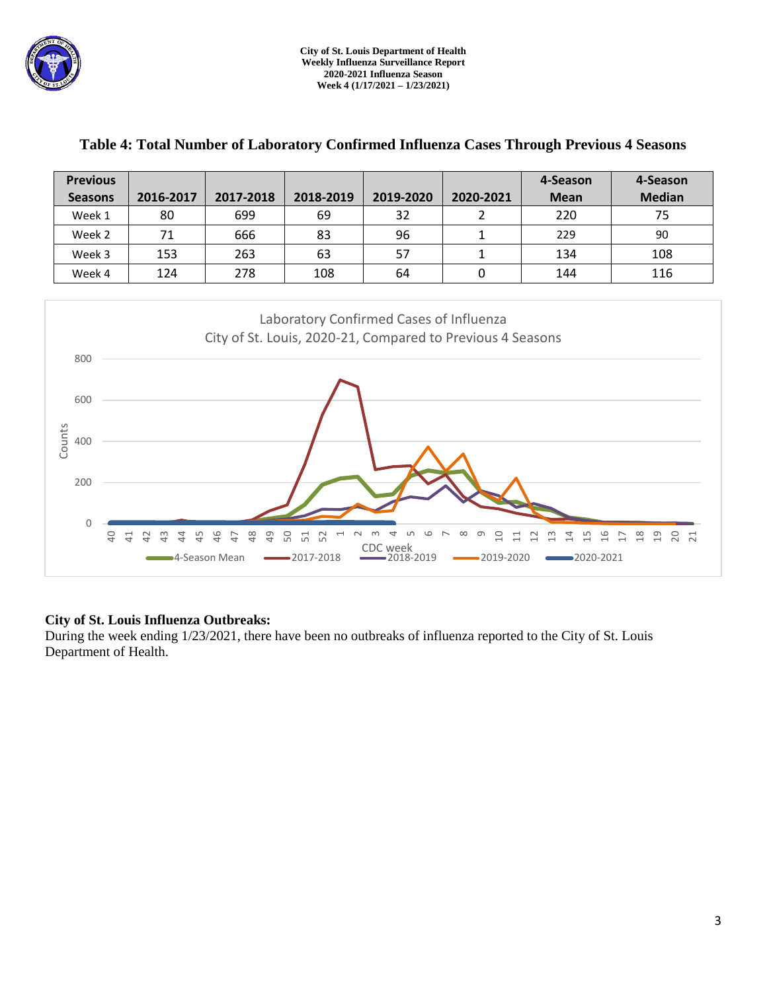

| <b>Previous</b>                                                                                    |                                                                                                       |           |           |           |                  | 4-Season    | 4-Season      |  |  |  |  |
|----------------------------------------------------------------------------------------------------|-------------------------------------------------------------------------------------------------------|-----------|-----------|-----------|------------------|-------------|---------------|--|--|--|--|
| <b>Seasons</b>                                                                                     | 2016-2017                                                                                             | 2017-2018 | 2018-2019 | 2019-2020 | 2020-2021        | <b>Mean</b> | <b>Median</b> |  |  |  |  |
| Week 1                                                                                             | 80                                                                                                    | 699       | 69        | 32        | $\overline{2}$   | 220         | 75            |  |  |  |  |
| Week 2                                                                                             | 71                                                                                                    | 666       | 83        | 96        | $\mathbf{1}$     | 229         | 90            |  |  |  |  |
| Week 3                                                                                             | 153                                                                                                   | 263       | 63        | 57        | $\mathbf{1}$     | 134         | 108           |  |  |  |  |
| Week 4                                                                                             | 124                                                                                                   | 278       | 108       | 64        | $\boldsymbol{0}$ | 144         | 116           |  |  |  |  |
| 800<br>600<br>Counts<br>400<br>200<br>0<br>$\overline{a}$<br>41                                    | Laboratory Confirmed Cases of Influenza<br>City of St. Louis, 2020-21, Compared to Previous 4 Seasons |           |           |           |                  |             |               |  |  |  |  |
| <b>CDC</b> week<br>■4-Season Mean<br>$-2019-2020$<br>2020-2021<br>$-2017 - 2018$<br>$-2018 - 2019$ |                                                                                                       |           |           |           |                  |             |               |  |  |  |  |

### **Table 4: Total Number of Laboratory Confirmed Influenza Cases Through Previous 4 Seasons**

### **City of St. Louis Influenza Outbreaks:**

During the week ending 1/23/2021, there have been no outbreaks of influenza reported to the City of St. Louis Department of Health.